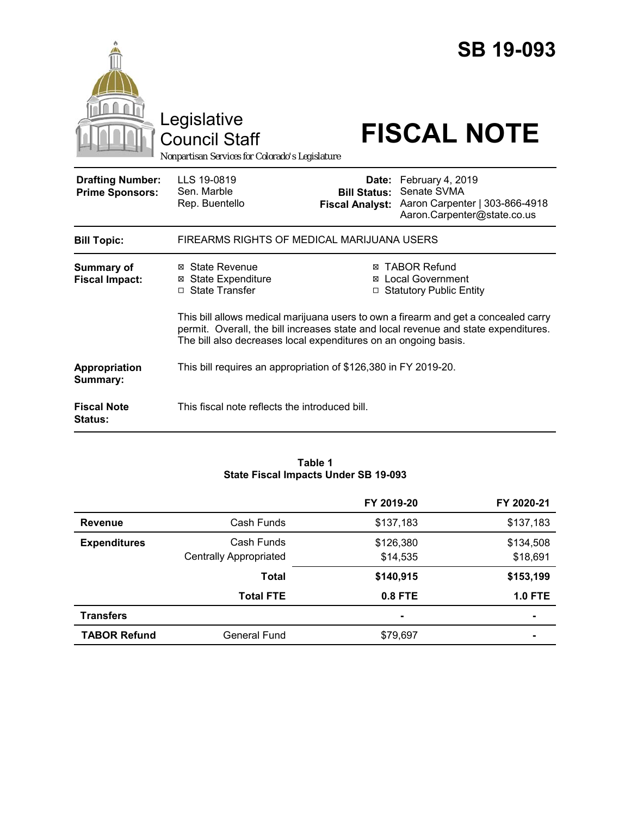|                                                   | Legislative<br><b>Council Staff</b><br>Nonpartisan Services for Colorado's Legislature                                                                                                                                                        |                                               | <b>SB 19-093</b><br><b>FISCAL NOTE</b>                                                                 |
|---------------------------------------------------|-----------------------------------------------------------------------------------------------------------------------------------------------------------------------------------------------------------------------------------------------|-----------------------------------------------|--------------------------------------------------------------------------------------------------------|
| <b>Drafting Number:</b><br><b>Prime Sponsors:</b> | LLS 19-0819<br>Sen. Marble<br>Rep. Buentello                                                                                                                                                                                                  | <b>Bill Status:</b><br><b>Fiscal Analyst:</b> | Date: February 4, 2019<br>Senate SVMA<br>Aaron Carpenter   303-866-4918<br>Aaron.Carpenter@state.co.us |
| <b>Bill Topic:</b>                                | FIREARMS RIGHTS OF MEDICAL MARIJUANA USERS                                                                                                                                                                                                    |                                               |                                                                                                        |
| <b>Summary of</b><br><b>Fiscal Impact:</b>        | ⊠ State Revenue<br><b>⊠</b> State Expenditure<br>□ State Transfer                                                                                                                                                                             |                                               | ⊠ TABOR Refund<br>⊠ Local Government<br><b>Statutory Public Entity</b>                                 |
|                                                   | This bill allows medical marijuana users to own a firearm and get a concealed carry<br>permit. Overall, the bill increases state and local revenue and state expenditures.<br>The bill also decreases local expenditures on an ongoing basis. |                                               |                                                                                                        |
| <b>Appropriation</b><br>Summary:                  | This bill requires an appropriation of \$126,380 in FY 2019-20.                                                                                                                                                                               |                                               |                                                                                                        |
| <b>Fiscal Note</b><br><b>Status:</b>              | This fiscal note reflects the introduced bill.                                                                                                                                                                                                |                                               |                                                                                                        |

#### **Table 1 State Fiscal Impacts Under SB 19-093**

|                     |                               | FY 2019-20     | FY 2020-21     |
|---------------------|-------------------------------|----------------|----------------|
| <b>Revenue</b>      | Cash Funds                    | \$137,183      | \$137,183      |
| <b>Expenditures</b> | Cash Funds                    | \$126,380      | \$134,508      |
|                     | <b>Centrally Appropriated</b> | \$14,535       | \$18,691       |
|                     | <b>Total</b>                  | \$140,915      | \$153,199      |
|                     | <b>Total FTE</b>              | 0.8 FTE        | <b>1.0 FTE</b> |
| <b>Transfers</b>    |                               | $\blacksquare$ | $\blacksquare$ |
| <b>TABOR Refund</b> | <b>General Fund</b>           | \$79,697       |                |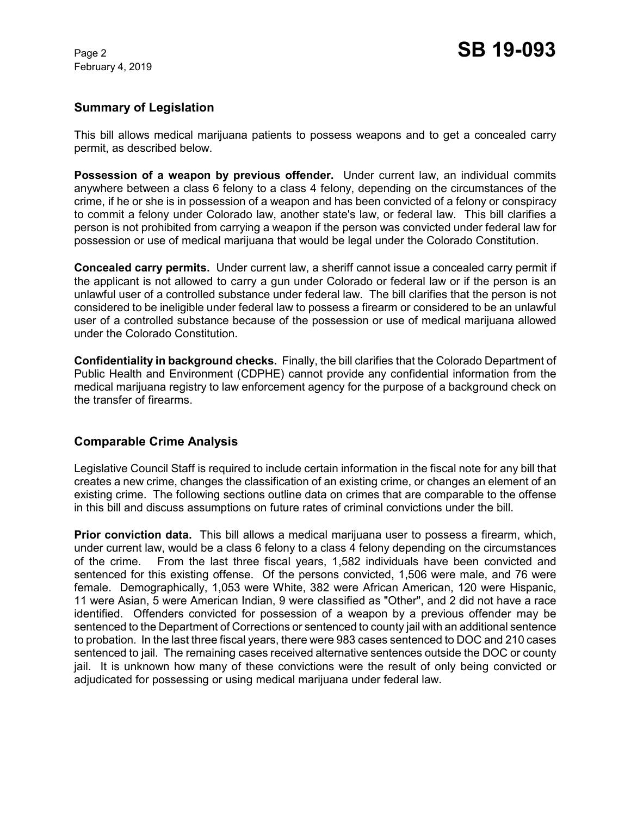## **Summary of Legislation**

This bill allows medical marijuana patients to possess weapons and to get a concealed carry permit, as described below.

**Possession of a weapon by previous offender.** Under current law, an individual commits anywhere between a class 6 felony to a class 4 felony, depending on the circumstances of the crime, if he or she is in possession of a weapon and has been convicted of a felony or conspiracy to commit a felony under Colorado law, another state's law, or federal law. This bill clarifies a person is not prohibited from carrying a weapon if the person was convicted under federal law for possession or use of medical marijuana that would be legal under the Colorado Constitution.

**Concealed carry permits.** Under current law, a sheriff cannot issue a concealed carry permit if the applicant is not allowed to carry a gun under Colorado or federal law or if the person is an unlawful user of a controlled substance under federal law. The bill clarifies that the person is not considered to be ineligible under federal law to possess a firearm or considered to be an unlawful user of a controlled substance because of the possession or use of medical marijuana allowed under the Colorado Constitution.

**Confidentiality in background checks.** Finally, the bill clarifies that the Colorado Department of Public Health and Environment (CDPHE) cannot provide any confidential information from the medical marijuana registry to law enforcement agency for the purpose of a background check on the transfer of firearms.

# **Comparable Crime Analysis**

Legislative Council Staff is required to include certain information in the fiscal note for any bill that creates a new crime, changes the classification of an existing crime, or changes an element of an existing crime. The following sections outline data on crimes that are comparable to the offense in this bill and discuss assumptions on future rates of criminal convictions under the bill.

**Prior conviction data.** This bill allows a medical marijuana user to possess a firearm, which, under current law, would be a class 6 felony to a class 4 felony depending on the circumstances of the crime. From the last three fiscal years, 1,582 individuals have been convicted and sentenced for this existing offense. Of the persons convicted, 1,506 were male, and 76 were female. Demographically, 1,053 were White, 382 were African American, 120 were Hispanic, 11 were Asian, 5 were American Indian, 9 were classified as "Other", and 2 did not have a race identified. Offenders convicted for possession of a weapon by a previous offender may be sentenced to the Department of Corrections or sentenced to county jail with an additional sentence to probation. In the last three fiscal years, there were 983 cases sentenced to DOC and 210 cases sentenced to jail. The remaining cases received alternative sentences outside the DOC or county jail. It is unknown how many of these convictions were the result of only being convicted or adjudicated for possessing or using medical marijuana under federal law.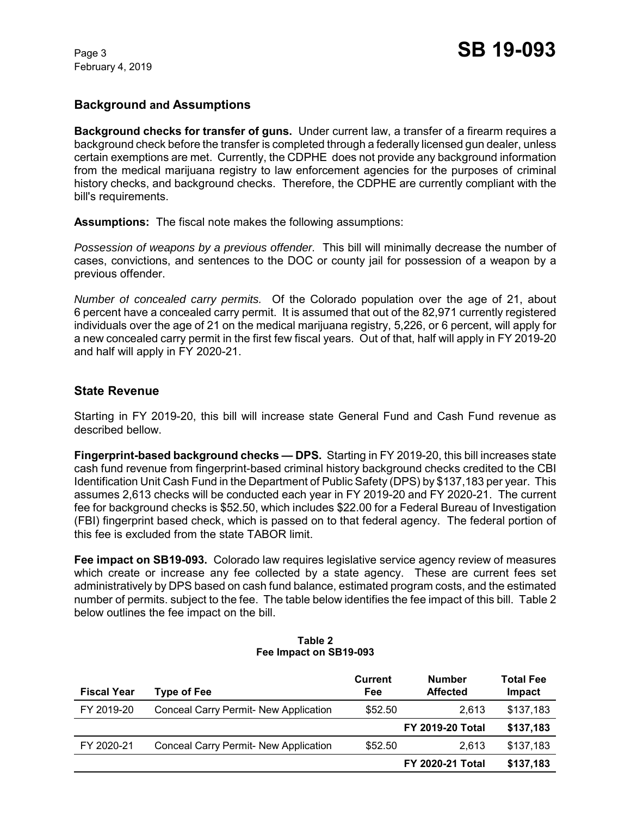# **Background and Assumptions**

**Background checks for transfer of guns.** Under current law, a transfer of a firearm requires a background check before the transfer is completed through a federally licensed gun dealer, unless certain exemptions are met. Currently, the CDPHE does not provide any background information from the medical marijuana registry to law enforcement agencies for the purposes of criminal history checks, and background checks. Therefore, the CDPHE are currently compliant with the bill's requirements.

**Assumptions:** The fiscal note makes the following assumptions:

*Possession of weapons by a previous offender.* This bill will minimally decrease the number of cases, convictions, and sentences to the DOC or county jail for possession of a weapon by a previous offender.

*Number of concealed carry permits.* Of the Colorado population over the age of 21, about 6 percent have a concealed carry permit. It is assumed that out of the 82,971 currently registered individuals over the age of 21 on the medical marijuana registry, 5,226, or 6 percent, will apply for a new concealed carry permit in the first few fiscal years. Out of that, half will apply in FY 2019-20 and half will apply in FY 2020-21.

## **State Revenue**

Starting in FY 2019-20, this bill will increase state General Fund and Cash Fund revenue as described bellow.

**Fingerprint-based background checks — DPS.** Starting in FY 2019-20, this bill increases state cash fund revenue from fingerprint-based criminal history background checks credited to the CBI Identification Unit Cash Fund in the Department of Public Safety (DPS) by \$137,183 per year. This assumes 2,613 checks will be conducted each year in FY 2019-20 and FY 2020-21. The current fee for background checks is \$52.50, which includes \$22.00 for a Federal Bureau of Investigation (FBI) fingerprint based check, which is passed on to that federal agency. The federal portion of this fee is excluded from the state TABOR limit.

**Fee impact on SB19-093.** Colorado law requires legislative service agency review of measures which create or increase any fee collected by a state agency. These are current fees set administratively by DPS based on cash fund balance, estimated program costs, and the estimated number of permits. subject to the fee. The table below identifies the fee impact of this bill.Table 2 below outlines the fee impact on the bill.

| <b>Fiscal Year</b> | <b>Type of Fee</b>                           | Current<br>Fee | <b>Number</b><br><b>Affected</b> | <b>Total Fee</b><br>Impact |
|--------------------|----------------------------------------------|----------------|----------------------------------|----------------------------|
| FY 2019-20         | Conceal Carry Permit- New Application        | \$52.50        | 2.613                            | \$137,183                  |
|                    |                                              |                | <b>FY 2019-20 Total</b>          | \$137,183                  |
| FY 2020-21         | <b>Conceal Carry Permit- New Application</b> | \$52.50        | 2.613                            | \$137,183                  |
|                    |                                              |                | <b>FY 2020-21 Total</b>          | \$137,183                  |

#### **Table 2 Fee Impact on SB19-093**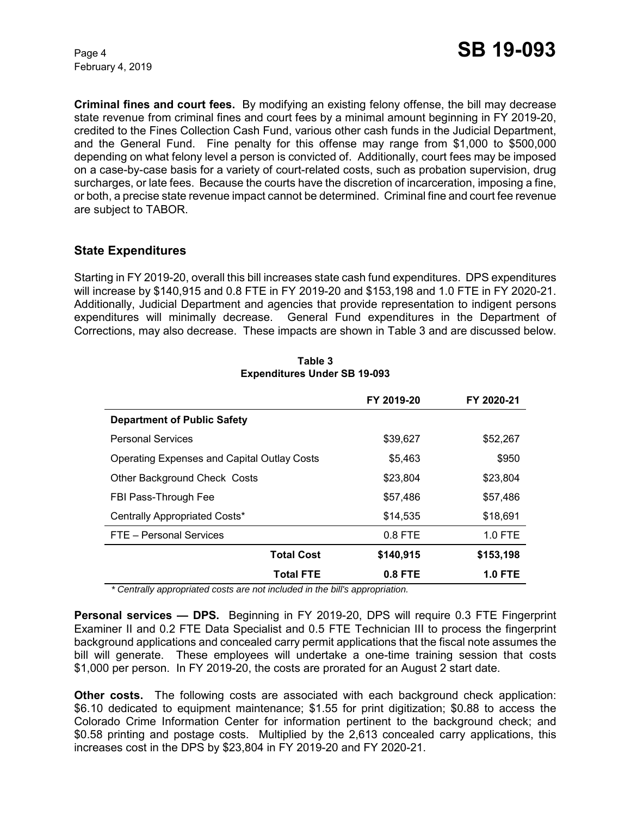**Criminal fines and court fees.** By modifying an existing felony offense, the bill may decrease state revenue from criminal fines and court fees by a minimal amount beginning in FY 2019-20, credited to the Fines Collection Cash Fund, various other cash funds in the Judicial Department, and the General Fund. Fine penalty for this offense may range from \$1,000 to \$500,000 depending on what felony level a person is convicted of. Additionally, court fees may be imposed on a case-by-case basis for a variety of court-related costs, such as probation supervision, drug surcharges, or late fees. Because the courts have the discretion of incarceration, imposing a fine, or both, a precise state revenue impact cannot be determined. Criminal fine and court fee revenue are subject to TABOR.

# **State Expenditures**

Starting in FY 2019-20, overall this bill increases state cash fund expenditures. DPS expenditures will increase by \$140,915 and 0.8 FTE in FY 2019-20 and \$153,198 and 1.0 FTE in FY 2020-21. Additionally, Judicial Department and agencies that provide representation to indigent persons expenditures will minimally decrease. General Fund expenditures in the Department of Corrections, may also decrease. These impacts are shown in Table 3 and are discussed below.

|                                                    | FY 2019-20 | FY 2020-21     |
|----------------------------------------------------|------------|----------------|
| <b>Department of Public Safety</b>                 |            |                |
| <b>Personal Services</b>                           | \$39,627   | \$52,267       |
| <b>Operating Expenses and Capital Outlay Costs</b> | \$5,463    | \$950          |
| Other Background Check Costs                       | \$23,804   | \$23,804       |
| FBI Pass-Through Fee                               | \$57,486   | \$57,486       |
| Centrally Appropriated Costs*                      | \$14.535   | \$18.691       |
| FTE - Personal Services                            | $0.8$ FTE  | $1.0$ FTE      |
| <b>Total Cost</b>                                  | \$140,915  | \$153,198      |
| <b>Total FTE</b>                                   | $0.8$ FTE  | <b>1.0 FTE</b> |

**Table 3 Expenditures Under SB 19-093**

*\* Centrally appropriated costs are not included in the bill's appropriation.*

**Personal services — DPS.** Beginning in FY 2019-20, DPS will require 0.3 FTE Fingerprint Examiner II and 0.2 FTE Data Specialist and 0.5 FTE Technician III to process the fingerprint background applications and concealed carry permit applications that the fiscal note assumes the bill will generate. These employees will undertake a one-time training session that costs \$1,000 per person. In FY 2019-20, the costs are prorated for an August 2 start date.

**Other costs.** The following costs are associated with each background check application: \$6.10 dedicated to equipment maintenance; \$1.55 for print digitization; \$0.88 to access the Colorado Crime Information Center for information pertinent to the background check; and \$0.58 printing and postage costs. Multiplied by the 2,613 concealed carry applications, this increases cost in the DPS by \$23,804 in FY 2019-20 and FY 2020-21.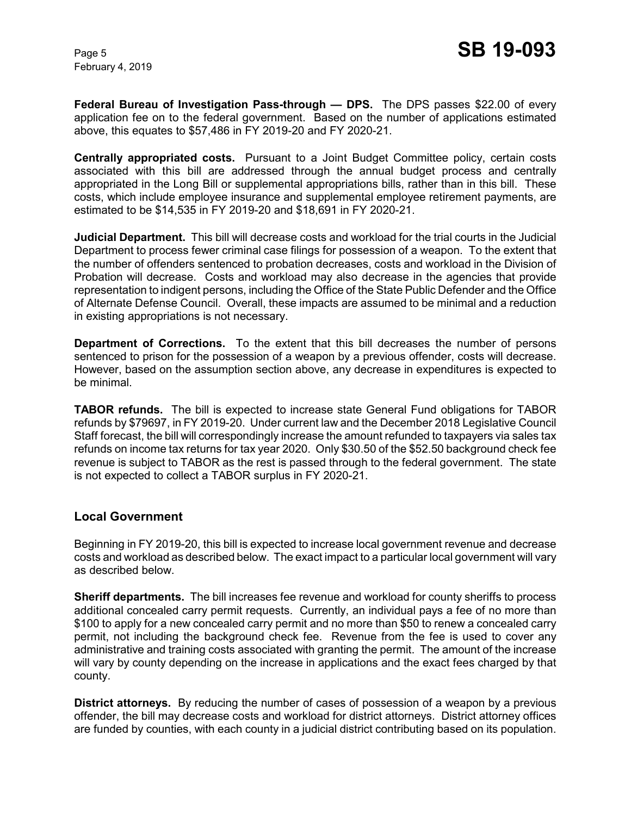**Federal Bureau of Investigation Pass-through — DPS.** The DPS passes \$22.00 of every application fee on to the federal government. Based on the number of applications estimated above, this equates to \$57,486 in FY 2019-20 and FY 2020-21.

**Centrally appropriated costs.** Pursuant to a Joint Budget Committee policy, certain costs associated with this bill are addressed through the annual budget process and centrally appropriated in the Long Bill or supplemental appropriations bills, rather than in this bill. These costs, which include employee insurance and supplemental employee retirement payments, are estimated to be \$14,535 in FY 2019-20 and \$18,691 in FY 2020-21.

**Judicial Department.** This bill will decrease costs and workload for the trial courts in the Judicial Department to process fewer criminal case filings for possession of a weapon. To the extent that the number of offenders sentenced to probation decreases, costs and workload in the Division of Probation will decrease. Costs and workload may also decrease in the agencies that provide representation to indigent persons, including the Office of the State Public Defender and the Office of Alternate Defense Council. Overall, these impacts are assumed to be minimal and a reduction in existing appropriations is not necessary.

**Department of Corrections.** To the extent that this bill decreases the number of persons sentenced to prison for the possession of a weapon by a previous offender, costs will decrease. However, based on the assumption section above, any decrease in expenditures is expected to be minimal.

**TABOR refunds.** The bill is expected to increase state General Fund obligations for TABOR refunds by \$79697, in FY 2019-20. Under current law and the December 2018 Legislative Council Staff forecast, the bill will correspondingly increase the amount refunded to taxpayers via sales tax refunds on income tax returns for tax year 2020. Only \$30.50 of the \$52.50 background check fee revenue is subject to TABOR as the rest is passed through to the federal government. The state is not expected to collect a TABOR surplus in FY 2020-21.

## **Local Government**

Beginning in FY 2019-20, this bill is expected to increase local government revenue and decrease costs and workload as described below. The exact impact to a particular local government will vary as described below.

**Sheriff departments.** The bill increases fee revenue and workload for county sheriffs to process additional concealed carry permit requests. Currently, an individual pays a fee of no more than \$100 to apply for a new concealed carry permit and no more than \$50 to renew a concealed carry permit, not including the background check fee. Revenue from the fee is used to cover any administrative and training costs associated with granting the permit. The amount of the increase will vary by county depending on the increase in applications and the exact fees charged by that county.

**District attorneys.** By reducing the number of cases of possession of a weapon by a previous offender, the bill may decrease costs and workload for district attorneys. District attorney offices are funded by counties, with each county in a judicial district contributing based on its population.